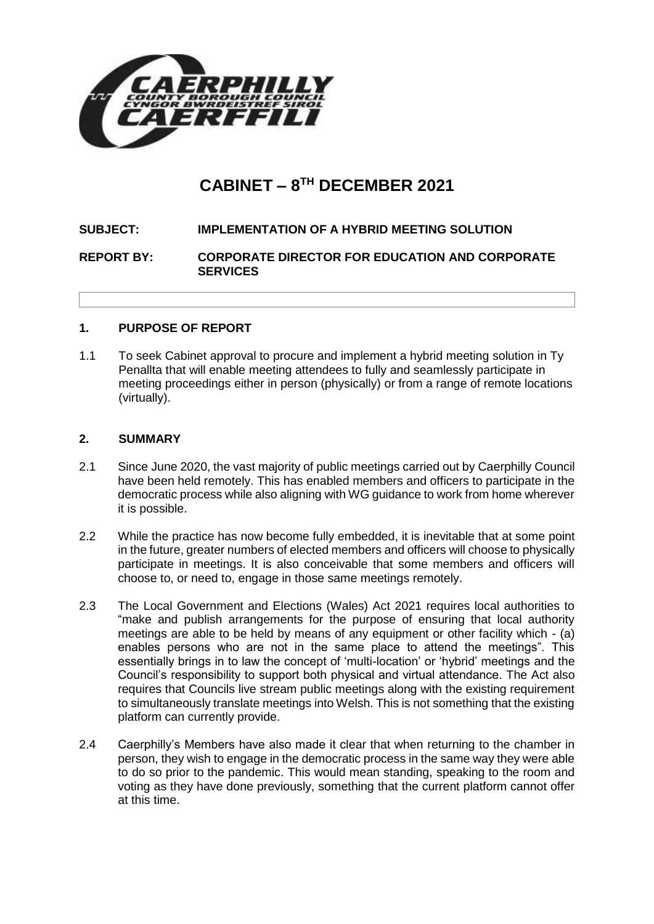

# **CABINET – 8 TH DECEMBER 2021**

# **SUBJECT: IMPLEMENTATION OF A HYBRID MEETING SOLUTION**

**REPORT BY: CORPORATE DIRECTOR FOR EDUCATION AND CORPORATE SERVICES**

## **1. PURPOSE OF REPORT**

1.1 To seek Cabinet approval to procure and implement a hybrid meeting solution in Ty Penallta that will enable meeting attendees to fully and seamlessly participate in meeting proceedings either in person (physically) or from a range of remote locations (virtually).

## **2. SUMMARY**

- 2.1 Since June 2020, the vast majority of public meetings carried out by Caerphilly Council have been held remotely. This has enabled members and officers to participate in the democratic process while also aligning with WG guidance to work from home wherever it is possible.
- 2.2 While the practice has now become fully embedded, it is inevitable that at some point in the future, greater numbers of elected members and officers will choose to physically participate in meetings. It is also conceivable that some members and officers will choose to, or need to, engage in those same meetings remotely.
- 2.3 The Local Government and Elections (Wales) Act 2021 requires local authorities to "make and publish arrangements for the purpose of ensuring that local authority meetings are able to be held by means of any equipment or other facility which - (a) enables persons who are not in the same place to attend the meetings". This essentially brings in to law the concept of 'multi-location' or 'hybrid' meetings and the Council's responsibility to support both physical and virtual attendance. The Act also requires that Councils live stream public meetings along with the existing requirement to simultaneously translate meetings into Welsh. This is not something that the existing platform can currently provide.
- 2.4 Caerphilly's Members have also made it clear that when returning to the chamber in person, they wish to engage in the democratic process in the same way they were able to do so prior to the pandemic. This would mean standing, speaking to the room and voting as they have done previously, something that the current platform cannot offer at this time.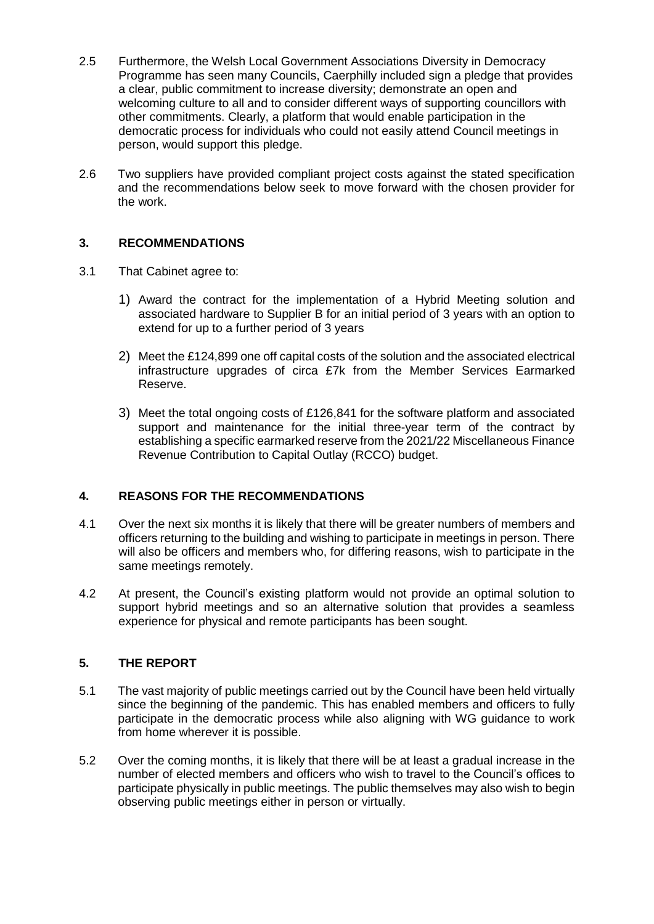- 2.5 Furthermore, the Welsh Local Government Associations Diversity in Democracy Programme has seen many Councils, Caerphilly included sign a pledge that provides a clear, public commitment to increase diversity; demonstrate an open and welcoming culture to all and to consider different ways of supporting councillors with other commitments. Clearly, a platform that would enable participation in the democratic process for individuals who could not easily attend Council meetings in person, would support this pledge.
- 2.6 Two suppliers have provided compliant project costs against the stated specification and the recommendations below seek to move forward with the chosen provider for the work.

# **3. RECOMMENDATIONS**

- 3.1 That Cabinet agree to:
	- 1) Award the contract for the implementation of a Hybrid Meeting solution and associated hardware to Supplier B for an initial period of 3 years with an option to extend for up to a further period of 3 years
	- 2) Meet the £124,899 one off capital costs of the solution and the associated electrical infrastructure upgrades of circa £7k from the Member Services Earmarked Reserve.
	- 3) Meet the total ongoing costs of £126,841 for the software platform and associated support and maintenance for the initial three-year term of the contract by establishing a specific earmarked reserve from the 2021/22 Miscellaneous Finance Revenue Contribution to Capital Outlay (RCCO) budget.

## **4. REASONS FOR THE RECOMMENDATIONS**

- 4.1 Over the next six months it is likely that there will be greater numbers of members and officers returning to the building and wishing to participate in meetings in person. There will also be officers and members who, for differing reasons, wish to participate in the same meetings remotely.
- 4.2 At present, the Council's existing platform would not provide an optimal solution to support hybrid meetings and so an alternative solution that provides a seamless experience for physical and remote participants has been sought.

## **5. THE REPORT**

- 5.1 The vast majority of public meetings carried out by the Council have been held virtually since the beginning of the pandemic. This has enabled members and officers to fully participate in the democratic process while also aligning with WG guidance to work from home wherever it is possible.
- 5.2 Over the coming months, it is likely that there will be at least a gradual increase in the number of elected members and officers who wish to travel to the Council's offices to participate physically in public meetings. The public themselves may also wish to begin observing public meetings either in person or virtually.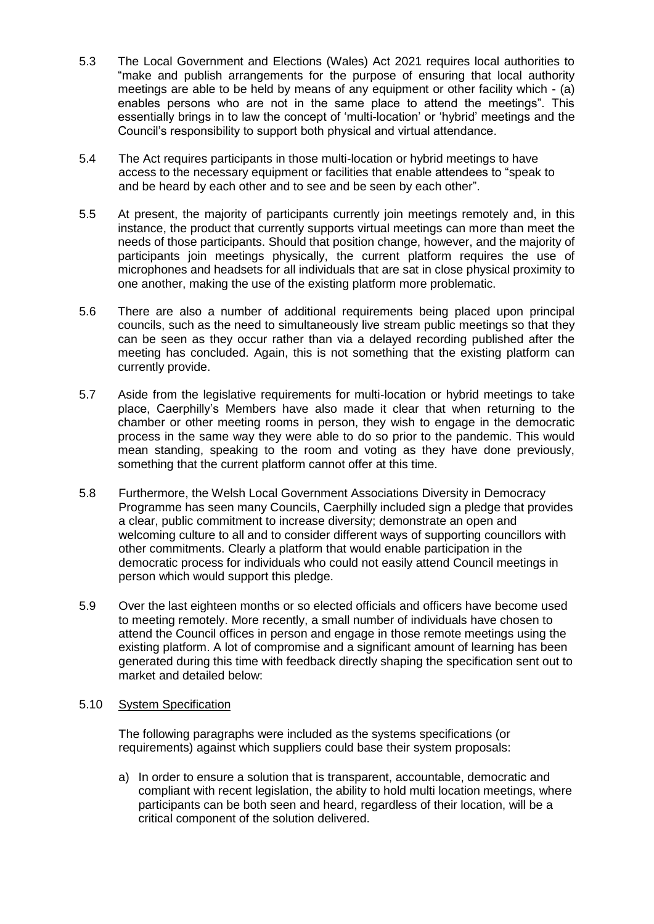- 5.3 The Local Government and Elections (Wales) Act 2021 requires local authorities to "make and publish arrangements for the purpose of ensuring that local authority meetings are able to be held by means of any equipment or other facility which - (a) enables persons who are not in the same place to attend the meetings". This essentially brings in to law the concept of 'multi-location' or 'hybrid' meetings and the Council's responsibility to support both physical and virtual attendance.
- 5.4 The Act requires participants in those multi-location or hybrid meetings to have access to the necessary equipment or facilities that enable attendees to "speak to and be heard by each other and to see and be seen by each other".
- 5.5 At present, the majority of participants currently join meetings remotely and, in this instance, the product that currently supports virtual meetings can more than meet the needs of those participants. Should that position change, however, and the majority of participants join meetings physically, the current platform requires the use of microphones and headsets for all individuals that are sat in close physical proximity to one another, making the use of the existing platform more problematic.
- 5.6 There are also a number of additional requirements being placed upon principal councils, such as the need to simultaneously live stream public meetings so that they can be seen as they occur rather than via a delayed recording published after the meeting has concluded. Again, this is not something that the existing platform can currently provide.
- 5.7 Aside from the legislative requirements for multi-location or hybrid meetings to take place, Caerphilly's Members have also made it clear that when returning to the chamber or other meeting rooms in person, they wish to engage in the democratic process in the same way they were able to do so prior to the pandemic. This would mean standing, speaking to the room and voting as they have done previously, something that the current platform cannot offer at this time.
- 5.8 Furthermore, the Welsh Local Government Associations Diversity in Democracy Programme has seen many Councils, Caerphilly included sign a pledge that provides a clear, public commitment to increase diversity; demonstrate an open and welcoming culture to all and to consider different ways of supporting councillors with other commitments. Clearly a platform that would enable participation in the democratic process for individuals who could not easily attend Council meetings in person which would support this pledge.
- 5.9 Over the last eighteen months or so elected officials and officers have become used to meeting remotely. More recently, a small number of individuals have chosen to attend the Council offices in person and engage in those remote meetings using the existing platform. A lot of compromise and a significant amount of learning has been generated during this time with feedback directly shaping the specification sent out to market and detailed below:

## 5.10 System Specification

The following paragraphs were included as the systems specifications (or requirements) against which suppliers could base their system proposals:

a) In order to ensure a solution that is transparent, accountable, democratic and compliant with recent legislation, the ability to hold multi location meetings, where participants can be both seen and heard, regardless of their location, will be a critical component of the solution delivered.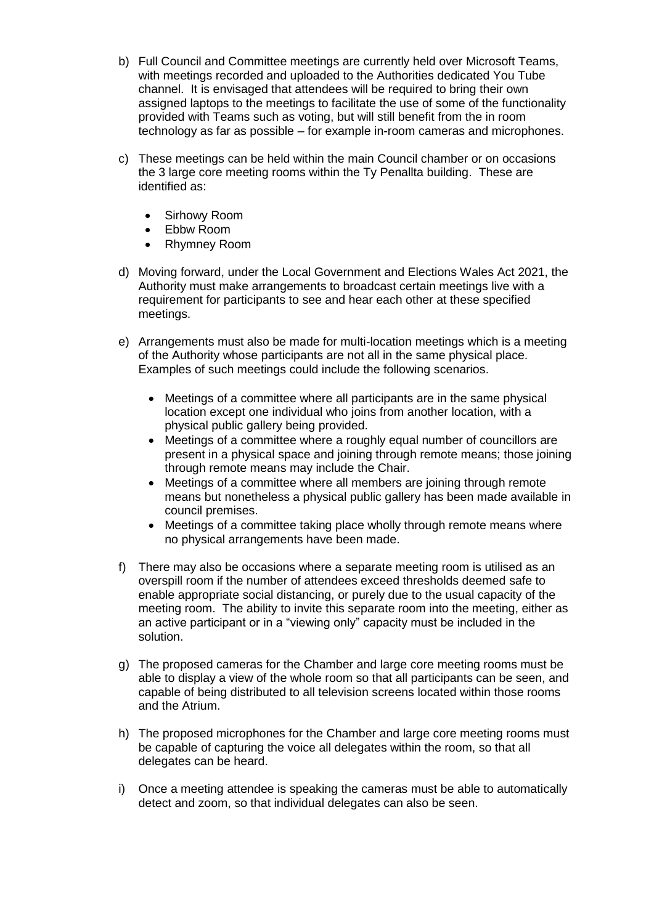- b) Full Council and Committee meetings are currently held over Microsoft Teams, with meetings recorded and uploaded to the Authorities dedicated You Tube channel. It is envisaged that attendees will be required to bring their own assigned laptops to the meetings to facilitate the use of some of the functionality provided with Teams such as voting, but will still benefit from the in room technology as far as possible – for example in-room cameras and microphones.
- c) These meetings can be held within the main Council chamber or on occasions the 3 large core meeting rooms within the Ty Penallta building. These are identified as:
	- Sirhowy Room
	- Ebbw Room
	- Rhymney Room
- d) Moving forward, under the Local Government and Elections Wales Act 2021, the Authority must make arrangements to broadcast certain meetings live with a requirement for participants to see and hear each other at these specified meetings.
- e) Arrangements must also be made for multi-location meetings which is a meeting of the Authority whose participants are not all in the same physical place. Examples of such meetings could include the following scenarios.
	- Meetings of a committee where all participants are in the same physical location except one individual who joins from another location, with a physical public gallery being provided.
	- Meetings of a committee where a roughly equal number of councillors are present in a physical space and joining through remote means; those joining through remote means may include the Chair.
	- Meetings of a committee where all members are joining through remote means but nonetheless a physical public gallery has been made available in council premises.
	- Meetings of a committee taking place wholly through remote means where no physical arrangements have been made.
- f) There may also be occasions where a separate meeting room is utilised as an overspill room if the number of attendees exceed thresholds deemed safe to enable appropriate social distancing, or purely due to the usual capacity of the meeting room. The ability to invite this separate room into the meeting, either as an active participant or in a "viewing only" capacity must be included in the solution.
- g) The proposed cameras for the Chamber and large core meeting rooms must be able to display a view of the whole room so that all participants can be seen, and capable of being distributed to all television screens located within those rooms and the Atrium.
- h) The proposed microphones for the Chamber and large core meeting rooms must be capable of capturing the voice all delegates within the room, so that all delegates can be heard.
- i) Once a meeting attendee is speaking the cameras must be able to automatically detect and zoom, so that individual delegates can also be seen.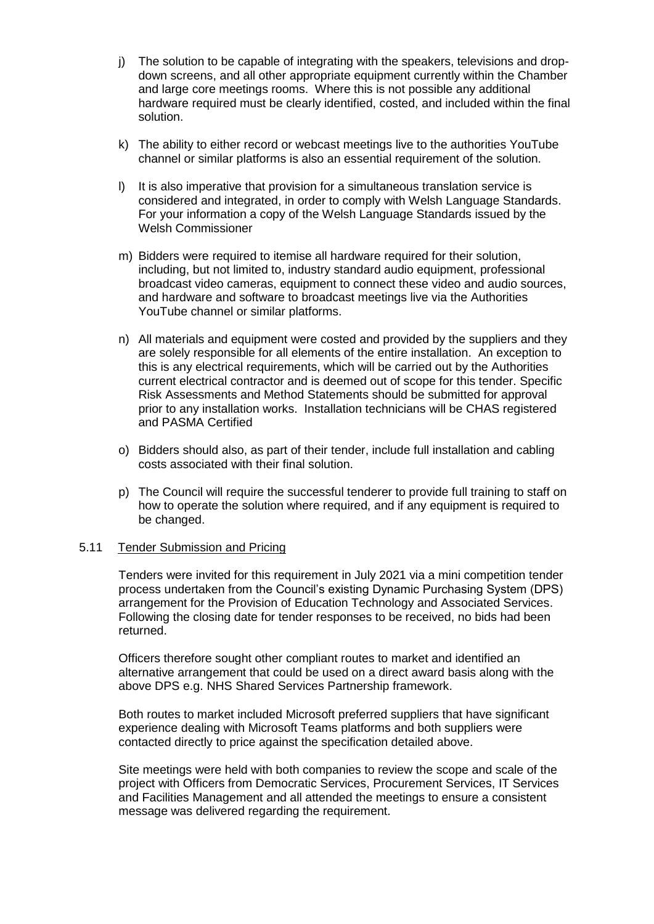- j) The solution to be capable of integrating with the speakers, televisions and dropdown screens, and all other appropriate equipment currently within the Chamber and large core meetings rooms. Where this is not possible any additional hardware required must be clearly identified, costed, and included within the final solution.
- k) The ability to either record or webcast meetings live to the authorities YouTube channel or similar platforms is also an essential requirement of the solution.
- l) It is also imperative that provision for a simultaneous translation service is considered and integrated, in order to comply with Welsh Language Standards. For your information a copy of the Welsh Language Standards issued by the Welsh Commissioner
- m) Bidders were required to itemise all hardware required for their solution, including, but not limited to, industry standard audio equipment, professional broadcast video cameras, equipment to connect these video and audio sources, and hardware and software to broadcast meetings live via the Authorities YouTube channel or similar platforms.
- n) All materials and equipment were costed and provided by the suppliers and they are solely responsible for all elements of the entire installation. An exception to this is any electrical requirements, which will be carried out by the Authorities current electrical contractor and is deemed out of scope for this tender. Specific Risk Assessments and Method Statements should be submitted for approval prior to any installation works. Installation technicians will be CHAS registered and PASMA Certified
- o) Bidders should also, as part of their tender, include full installation and cabling costs associated with their final solution.
- p) The Council will require the successful tenderer to provide full training to staff on how to operate the solution where required, and if any equipment is required to be changed.

#### 5.11 Tender Submission and Pricing

Tenders were invited for this requirement in July 2021 via a mini competition tender process undertaken from the Council's existing Dynamic Purchasing System (DPS) arrangement for the Provision of Education Technology and Associated Services. Following the closing date for tender responses to be received, no bids had been returned.

Officers therefore sought other compliant routes to market and identified an alternative arrangement that could be used on a direct award basis along with the above DPS e.g. NHS Shared Services Partnership framework.

Both routes to market included Microsoft preferred suppliers that have significant experience dealing with Microsoft Teams platforms and both suppliers were contacted directly to price against the specification detailed above.

Site meetings were held with both companies to review the scope and scale of the project with Officers from Democratic Services, Procurement Services, IT Services and Facilities Management and all attended the meetings to ensure a consistent message was delivered regarding the requirement.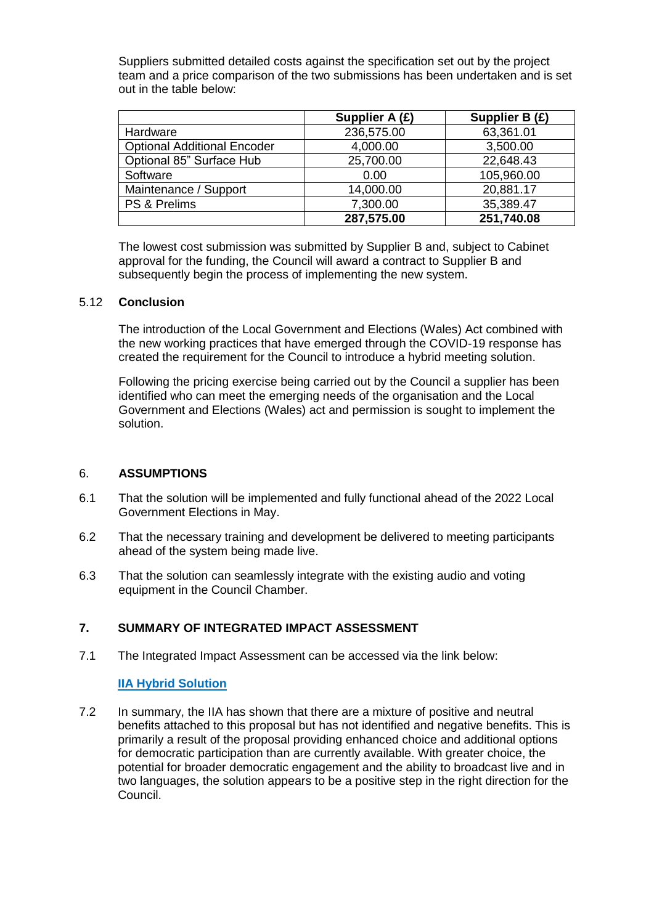Suppliers submitted detailed costs against the specification set out by the project team and a price comparison of the two submissions has been undertaken and is set out in the table below:

|                                    | Supplier A (£) | Supplier B (£) |
|------------------------------------|----------------|----------------|
| Hardware                           | 236,575.00     | 63,361.01      |
| <b>Optional Additional Encoder</b> | 4,000.00       | 3,500.00       |
| Optional 85" Surface Hub           | 25,700.00      | 22,648.43      |
| Software                           | 0.00           | 105,960.00     |
| Maintenance / Support              | 14,000.00      | 20,881.17      |
| PS & Prelims                       | 7,300.00       | 35,389.47      |
|                                    | 287,575.00     | 251,740.08     |

The lowest cost submission was submitted by Supplier B and, subject to Cabinet approval for the funding, the Council will award a contract to Supplier B and subsequently begin the process of implementing the new system.

#### 5.12 **Conclusion**

The introduction of the Local Government and Elections (Wales) Act combined with the new working practices that have emerged through the COVID-19 response has created the requirement for the Council to introduce a hybrid meeting solution.

Following the pricing exercise being carried out by the Council a supplier has been identified who can meet the emerging needs of the organisation and the Local Government and Elections (Wales) act and permission is sought to implement the solution.

## 6. **ASSUMPTIONS**

- 6.1 That the solution will be implemented and fully functional ahead of the 2022 Local Government Elections in May.
- 6.2 That the necessary training and development be delivered to meeting participants ahead of the system being made live.
- 6.3 That the solution can seamlessly integrate with the existing audio and voting equipment in the Council Chamber.

## **7. SUMMARY OF INTEGRATED IMPACT ASSESSMENT**

7.1 The Integrated Impact Assessment can be accessed via the link below:

## **[IIA Hybrid Solution](http://caerphilly.gov.uk/CaerphillyDocs/IIA/ccbc-iia-hybrid-meeting-solution)**

7.2 In summary, the IIA has shown that there are a mixture of positive and neutral benefits attached to this proposal but has not identified and negative benefits. This is primarily a result of the proposal providing enhanced choice and additional options for democratic participation than are currently available. With greater choice, the potential for broader democratic engagement and the ability to broadcast live and in two languages, the solution appears to be a positive step in the right direction for the Council.